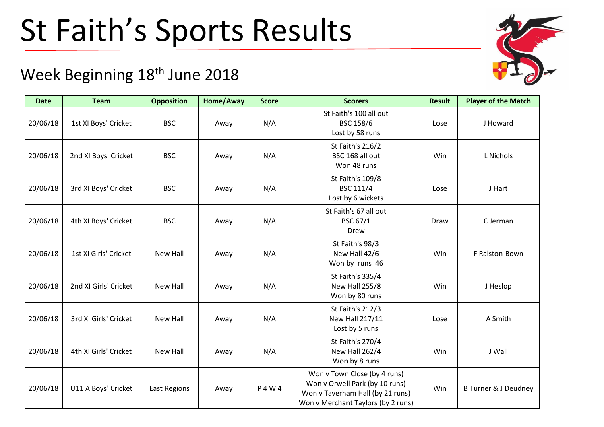## St Faith's Sports Results

## Week Beginning 18<sup>th</sup> June 2018

| <b>Date</b> | <b>Team</b>           | <b>Opposition</b>   | Home/Away | <b>Score</b> | <b>Scorers</b>                                                                                                                           | <b>Result</b> | <b>Player of the Match</b>      |
|-------------|-----------------------|---------------------|-----------|--------------|------------------------------------------------------------------------------------------------------------------------------------------|---------------|---------------------------------|
| 20/06/18    | 1st XI Boys' Cricket  | <b>BSC</b>          | Away      | N/A          | St Faith's 100 all out<br><b>BSC 158/6</b><br>Lost by 58 runs                                                                            | Lose          | J Howard                        |
| 20/06/18    | 2nd XI Boys' Cricket  | <b>BSC</b>          | Away      | N/A          | St Faith's 216/2<br>BSC 168 all out<br>Won 48 runs                                                                                       | Win           | L Nichols                       |
| 20/06/18    | 3rd XI Boys' Cricket  | <b>BSC</b>          | Away      | N/A          | St Faith's 109/8<br>BSC 111/4<br>Lost by 6 wickets                                                                                       | Lose          | J Hart                          |
| 20/06/18    | 4th XI Boys' Cricket  | <b>BSC</b>          | Away      | N/A          | St Faith's 67 all out<br>BSC 67/1<br>Drew                                                                                                | Draw          | C Jerman                        |
| 20/06/18    | 1st XI Girls' Cricket | New Hall            | Away      | N/A          | St Faith's 98/3<br>New Hall 42/6<br>Won by runs 46                                                                                       | Win           | F Ralston-Bown                  |
| 20/06/18    | 2nd XI Girls' Cricket | New Hall            | Away      | N/A          | St Faith's 335/4<br>New Hall 255/8<br>Won by 80 runs                                                                                     | Win           | J Heslop                        |
| 20/06/18    | 3rd XI Girls' Cricket | New Hall            | Away      | N/A          | St Faith's 212/3<br>New Hall 217/11<br>Lost by 5 runs                                                                                    | Lose          | A Smith                         |
| 20/06/18    | 4th XI Girls' Cricket | New Hall            | Away      | N/A          | St Faith's 270/4<br>New Hall 262/4<br>Won by 8 runs                                                                                      | Win           | J Wall                          |
| 20/06/18    | U11 A Boys' Cricket   | <b>East Regions</b> | Away      | P 4 W 4      | Won v Town Close (by 4 runs)<br>Won v Orwell Park (by 10 runs)<br>Won v Taverham Hall (by 21 runs)<br>Won v Merchant Taylors (by 2 runs) | Win           | <b>B Turner &amp; J Deudney</b> |